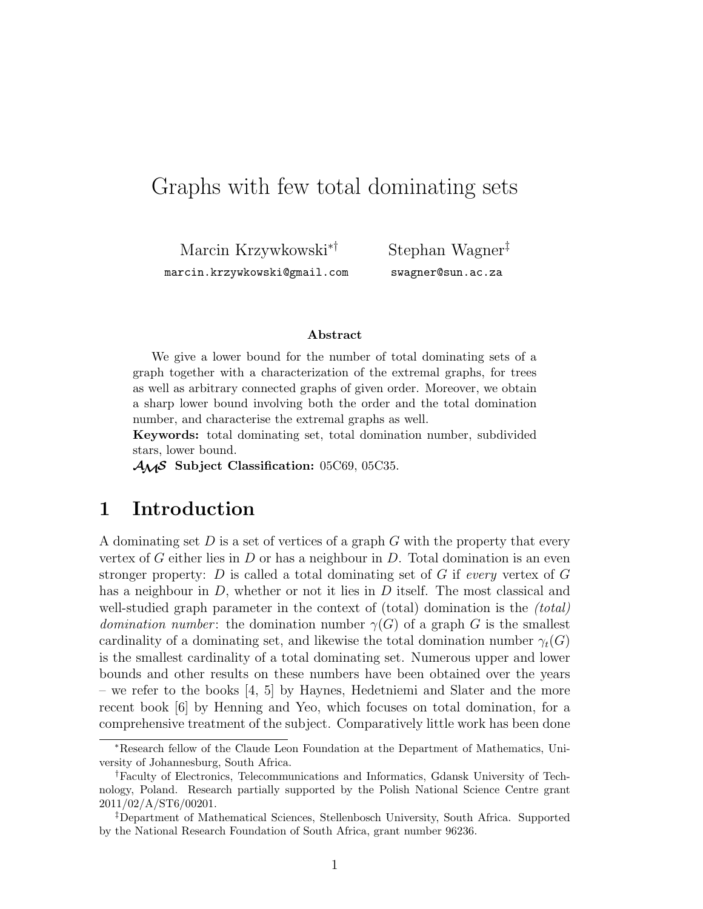# Graphs with few total dominating sets

Marcin Krzywkowski∗† marcin.krzywkowski@gmail.com

Stephan Wagner‡ swagner@sun.ac.za

#### Abstract

We give a lower bound for the number of total dominating sets of a graph together with a characterization of the extremal graphs, for trees as well as arbitrary connected graphs of given order. Moreover, we obtain a sharp lower bound involving both the order and the total domination number, and characterise the extremal graphs as well.

Keywords: total dominating set, total domination number, subdivided stars, lower bound.

 $\mathcal{A}_{\mathcal{M}}\mathcal{S}$  Subject Classification: 05C69, 05C35.

#### 1 Introduction

A dominating set  $D$  is a set of vertices of a graph  $G$  with the property that every vertex of G either lies in D or has a neighbour in D. Total domination is an even stronger property: D is called a total dominating set of G if every vertex of  $G$ has a neighbour in D, whether or not it lies in D itself. The most classical and well-studied graph parameter in the context of (total) domination is the *(total) domination number*: the domination number  $\gamma(G)$  of a graph G is the smallest cardinality of a dominating set, and likewise the total domination number  $\gamma_t(G)$ is the smallest cardinality of a total dominating set. Numerous upper and lower bounds and other results on these numbers have been obtained over the years – we refer to the books  $\begin{bmatrix} 4, 5 \end{bmatrix}$  by Haynes, Hedetniemi and Slater and the more recent book [6] by Henning and Yeo, which focuses on total domination, for a comprehensive treatment of the subject. Comparatively little work has been done

<sup>∗</sup>Research fellow of the Claude Leon Foundation at the Department of Mathematics, University of Johannesburg, South Africa.

<sup>†</sup>Faculty of Electronics, Telecommunications and Informatics, Gdansk University of Technology, Poland. Research partially supported by the Polish National Science Centre grant 2011/02/A/ST6/00201.

<sup>‡</sup>Department of Mathematical Sciences, Stellenbosch University, South Africa. Supported by the National Research Foundation of South Africa, grant number 96236.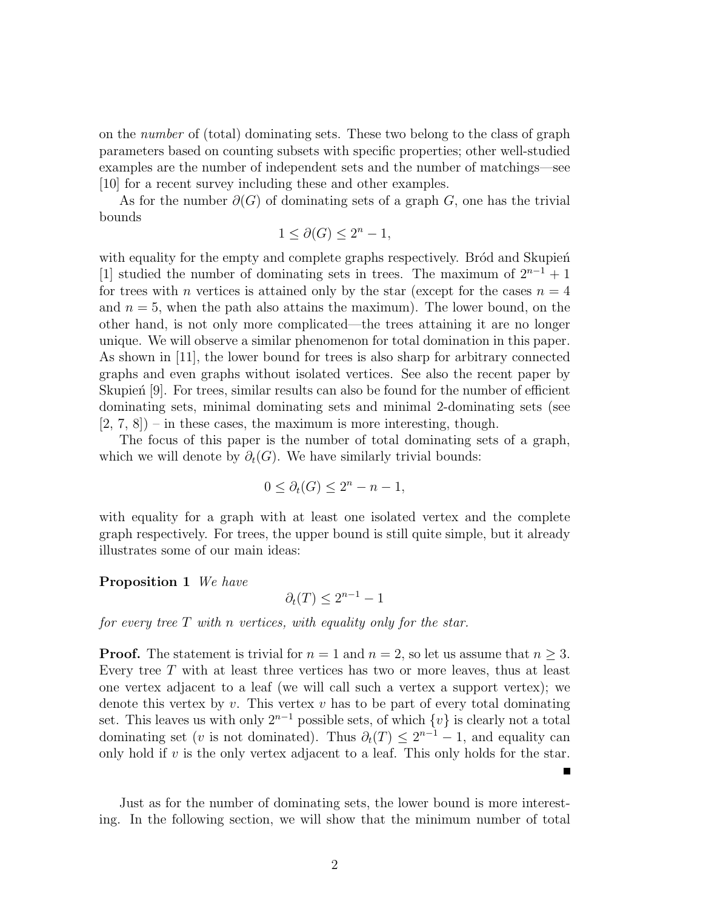on the number of (total) dominating sets. These two belong to the class of graph parameters based on counting subsets with specific properties; other well-studied examples are the number of independent sets and the number of matchings—see [10] for a recent survey including these and other examples.

As for the number  $\partial(G)$  of dominating sets of a graph G, one has the trivial bounds

 $1 \leq \partial(G) \leq 2^n - 1$ ,

with equality for the empty and complete graphs respectively. Bród and Skupień [1] studied the number of dominating sets in trees. The maximum of  $2^{n-1} + 1$ for trees with *n* vertices is attained only by the star (except for the cases  $n = 4$ and  $n = 5$ , when the path also attains the maximum). The lower bound, on the other hand, is not only more complicated—the trees attaining it are no longer unique. We will observe a similar phenomenon for total domination in this paper. As shown in [11], the lower bound for trees is also sharp for arbitrary connected graphs and even graphs without isolated vertices. See also the recent paper by Skupien  $[9]$ . For trees, similar results can also be found for the number of efficient dominating sets, minimal dominating sets and minimal 2-dominating sets (see  $[2, 7, 8]$  – in these cases, the maximum is more interesting, though.

The focus of this paper is the number of total dominating sets of a graph, which we will denote by  $\partial_t(G)$ . We have similarly trivial bounds:

$$
0 \le \partial_t(G) \le 2^n - n - 1,
$$

with equality for a graph with at least one isolated vertex and the complete graph respectively. For trees, the upper bound is still quite simple, but it already illustrates some of our main ideas:

Proposition 1 We have

$$
\partial_t(T) \le 2^{n-1} - 1
$$

for every tree  $T$  with n vertices, with equality only for the star.

**Proof.** The statement is trivial for  $n = 1$  and  $n = 2$ , so let us assume that  $n \geq 3$ . Every tree  $T$  with at least three vertices has two or more leaves, thus at least one vertex adjacent to a leaf (we will call such a vertex a support vertex); we denote this vertex by  $v$ . This vertex  $v$  has to be part of every total dominating set. This leaves us with only  $2^{n-1}$  possible sets, of which  $\{v\}$  is clearly not a total dominating set (*v* is not dominated). Thus  $\partial_t(T) \leq 2^{n-1} - 1$ , and equality can only hold if  $v$  is the only vertex adjacent to a leaf. This only holds for the star.

Just as for the number of dominating sets, the lower bound is more interesting. In the following section, we will show that the minimum number of total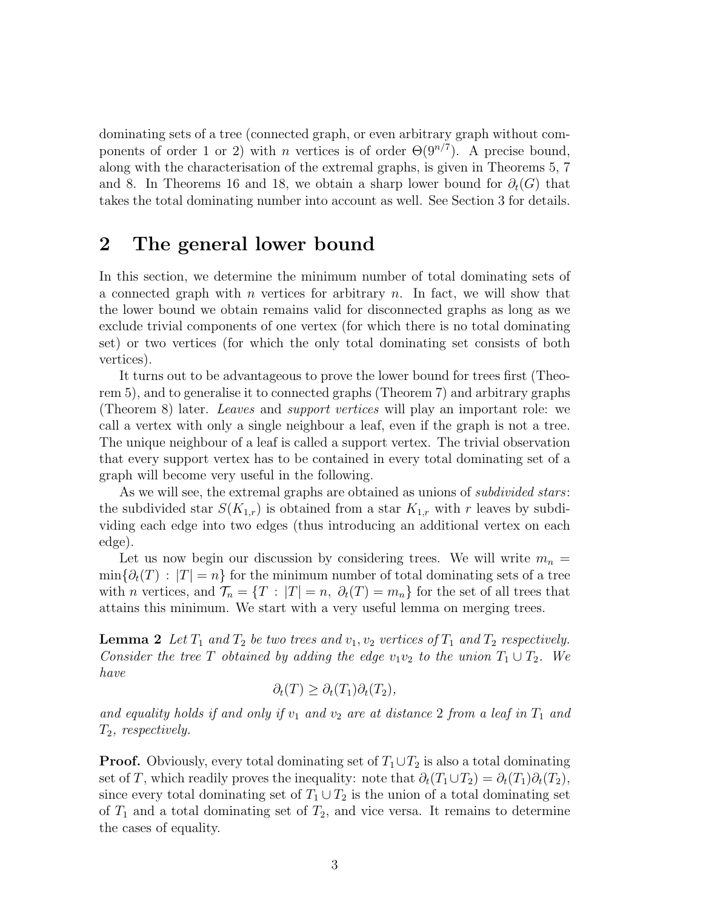dominating sets of a tree (connected graph, or even arbitrary graph without components of order 1 or 2) with *n* vertices is of order  $\Theta(9^{n/7})$ . A precise bound, along with the characterisation of the extremal graphs, is given in Theorems 5, 7 and 8. In Theorems 16 and 18, we obtain a sharp lower bound for  $\partial_t(G)$  that takes the total dominating number into account as well. See Section 3 for details.

### 2 The general lower bound

In this section, we determine the minimum number of total dominating sets of a connected graph with n vertices for arbitrary n. In fact, we will show that the lower bound we obtain remains valid for disconnected graphs as long as we exclude trivial components of one vertex (for which there is no total dominating set) or two vertices (for which the only total dominating set consists of both vertices).

It turns out to be advantageous to prove the lower bound for trees first (Theorem 5), and to generalise it to connected graphs (Theorem 7) and arbitrary graphs (Theorem 8) later. Leaves and support vertices will play an important role: we call a vertex with only a single neighbour a leaf, even if the graph is not a tree. The unique neighbour of a leaf is called a support vertex. The trivial observation that every support vertex has to be contained in every total dominating set of a graph will become very useful in the following.

As we will see, the extremal graphs are obtained as unions of *subdivided stars*: the subdivided star  $S(K_{1,r})$  is obtained from a star  $K_{1,r}$  with r leaves by subdividing each edge into two edges (thus introducing an additional vertex on each edge).

Let us now begin our discussion by considering trees. We will write  $m_n =$  $\min\{\partial_t(T): |T|=n\}$  for the minimum number of total dominating sets of a tree with n vertices, and  $\mathcal{T}_n = \{T : |T| = n, \partial_t(T) = m_n\}$  for the set of all trees that attains this minimum. We start with a very useful lemma on merging trees.

**Lemma 2** Let  $T_1$  and  $T_2$  be two trees and  $v_1, v_2$  vertices of  $T_1$  and  $T_2$  respectively. Consider the tree T obtained by adding the edge  $v_1v_2$  to the union  $T_1 \cup T_2$ . We have

$$
\partial_t(T) \ge \partial_t(T_1) \partial_t(T_2),
$$

and equality holds if and only if  $v_1$  and  $v_2$  are at distance 2 from a leaf in  $T_1$  and  $T_2$ , respectively.

**Proof.** Obviously, every total dominating set of  $T_1 \cup T_2$  is also a total dominating set of T, which readily proves the inequality: note that  $\partial_t(T_1 \cup T_2) = \partial_t(T_1)\partial_t(T_2)$ , since every total dominating set of  $T_1 \cup T_2$  is the union of a total dominating set of  $T_1$  and a total dominating set of  $T_2$ , and vice versa. It remains to determine the cases of equality.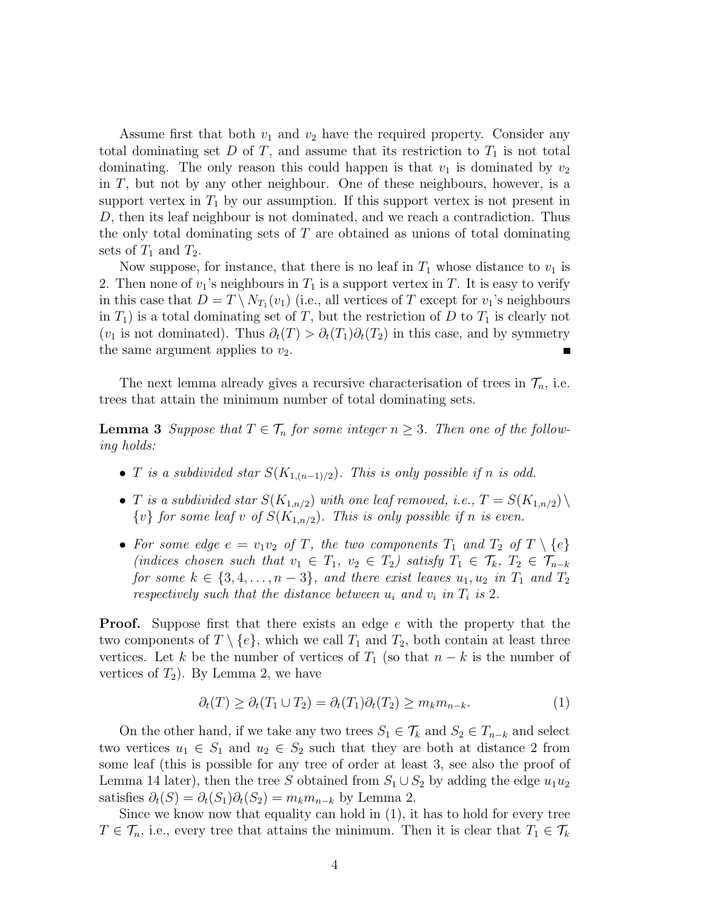Assume first that both  $v_1$  and  $v_2$  have the required property. Consider any total dominating set  $D$  of  $T$ , and assume that its restriction to  $T_1$  is not total dominating. The only reason this could happen is that  $v_1$  is dominated by  $v_2$ in T, but not by any other neighbour. One of these neighbours, however, is a support vertex in  $T_1$  by our assumption. If this support vertex is not present in D, then its leaf neighbour is not dominated, and we reach a contradiction. Thus the only total dominating sets of T are obtained as unions of total dominating sets of  $T_1$  and  $T_2$ .

Now suppose, for instance, that there is no leaf in  $T_1$  whose distance to  $v_1$  is 2. Then none of  $v_1$ 's neighbours in  $T_1$  is a support vertex in T. It is easy to verify in this case that  $D = T \setminus N_{T_1}(v_1)$  (i.e., all vertices of T except for  $v_1$ 's neighbours in  $T_1$ ) is a total dominating set of T, but the restriction of D to  $T_1$  is clearly not (v<sub>1</sub> is not dominated). Thus  $\partial_t(T) > \partial_t(T_1)\partial_t(T_2)$  in this case, and by symmetry the same argument applies to  $v_2$ .

The next lemma already gives a recursive characterisation of trees in  $\mathcal{T}_n$ , i.e. trees that attain the minimum number of total dominating sets.

**Lemma 3** Suppose that  $T \in \mathcal{T}_n$  for some integer  $n \geq 3$ . Then one of the following holds:

- T is a subdivided star  $S(K_{1,(n-1)/2})$ . This is only possible if n is odd.
- T is a subdivided star  $S(K_{1,n/2})$  with one leaf removed, i.e.,  $T = S(K_{1,n/2}) \setminus$  $\{v\}$  for some leaf v of  $S(K_{1,n/2})$ . This is only possible if n is even.
- For some edge  $e = v_1v_2$  of T, the two components  $T_1$  and  $T_2$  of  $T \setminus \{e\}$ (indices chosen such that  $v_1 \in T_1$ ,  $v_2 \in T_2$ ) satisfy  $T_1 \in \mathcal{T}_k$ ,  $T_2 \in \mathcal{T}_{n-k}$ for some  $k \in \{3, 4, \ldots, n-3\}$ , and there exist leaves  $u_1, u_2$  in  $T_1$  and  $T_2$ respectively such that the distance between  $u_i$  and  $v_i$  in  $T_i$  is 2.

**Proof.** Suppose first that there exists an edge e with the property that the two components of  $T \setminus \{e\}$ , which we call  $T_1$  and  $T_2$ , both contain at least three vertices. Let k be the number of vertices of  $T_1$  (so that  $n - k$  is the number of vertices of  $T_2$ ). By Lemma 2, we have

$$
\partial_t(T) \ge \partial_t(T_1 \cup T_2) = \partial_t(T_1)\partial_t(T_2) \ge m_k m_{n-k}.\tag{1}
$$

On the other hand, if we take any two trees  $S_1 \in \mathcal{T}_k$  and  $S_2 \in T_{n-k}$  and select two vertices  $u_1 \in S_1$  and  $u_2 \in S_2$  such that they are both at distance 2 from some leaf (this is possible for any tree of order at least 3, see also the proof of Lemma 14 later), then the tree S obtained from  $S_1 \cup S_2$  by adding the edge  $u_1u_2$ satisfies  $\partial_t(S) = \partial_t(S_1)\partial_t(S_2) = m_k m_{n-k}$  by Lemma 2.

Since we know now that equality can hold in (1), it has to hold for every tree  $T \in \mathcal{T}_n$ , i.e., every tree that attains the minimum. Then it is clear that  $T_1 \in \mathcal{T}_k$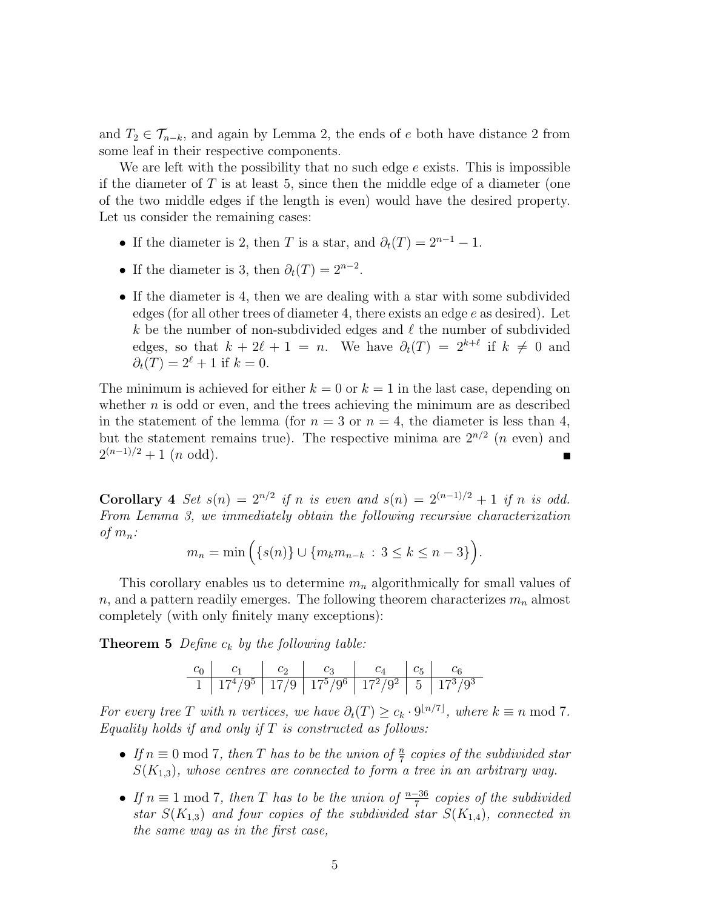and  $T_2 \in \mathcal{T}_{n-k}$ , and again by Lemma 2, the ends of e both have distance 2 from some leaf in their respective components.

We are left with the possibility that no such edge e exists. This is impossible if the diameter of  $T$  is at least 5, since then the middle edge of a diameter (one of the two middle edges if the length is even) would have the desired property. Let us consider the remaining cases:

- If the diameter is 2, then T is a star, and  $\partial_t(T) = 2^{n-1} 1$ .
- If the diameter is 3, then  $\partial_t(T) = 2^{n-2}$ .
- If the diameter is 4, then we are dealing with a star with some subdivided edges (for all other trees of diameter 4, there exists an edge e as desired). Let k be the number of non-subdivided edges and  $\ell$  the number of subdivided edges, so that  $k + 2\ell + 1 = n$ . We have  $\partial_t(T) = 2^{k+\ell}$  if  $k \neq 0$  and  $\partial_t(T) = 2^{\ell} + 1$  if  $k = 0$ .

The minimum is achieved for either  $k = 0$  or  $k = 1$  in the last case, depending on whether  $n$  is odd or even, and the trees achieving the minimum are as described in the statement of the lemma (for  $n = 3$  or  $n = 4$ , the diameter is less than 4, but the statement remains true). The respective minima are  $2^{n/2}$  (*n* even) and  $2^{(n-1)/2}+1$  (*n* odd).  $\blacksquare$ 

Corollary 4 Set  $s(n) = 2^{n/2}$  if n is even and  $s(n) = 2^{(n-1)/2} + 1$  if n is odd. From Lemma 3, we immediately obtain the following recursive characterization of  $m_n$ :

$$
m_n = \min\Big( \{ s(n) \} \cup \{ m_k m_{n-k} \, : \, 3 \le k \le n-3 \} \Big).
$$

This corollary enables us to determine  $m_n$  algorithmically for small values of n, and a pattern readily emerges. The following theorem characterizes  $m_n$  almost completely (with only finitely many exceptions):

**Theorem 5** Define  $c_k$  by the following table:

c<sup>0</sup> c<sup>1</sup> c<sup>2</sup> c<sup>3</sup> c<sup>4</sup> c<sup>5</sup> c<sup>6</sup> 1 17<sup>4</sup>/9 <sup>5</sup> 17/9 17<sup>5</sup>/9 <sup>6</sup> 17<sup>2</sup>/9 <sup>2</sup> 5 17<sup>3</sup>/9 3

For every tree T with n vertices, we have  $\partial_t(T) \geq c_k \cdot 9^{\lfloor n/7 \rfloor}$ , where  $k \equiv n \mod 7$ . Equality holds if and only if  $T$  is constructed as follows:

- If  $n \equiv 0 \mod 7$ , then T has to be the union of  $\frac{n}{7}$  copies of the subdivided star  $S(K_{1,3})$ , whose centres are connected to form a tree in an arbitrary way.
- If  $n \equiv 1 \mod 7$ , then T has to be the union of  $\frac{n-36}{7}$  copies of the subdivided star  $S(K_{1,3})$  and four copies of the subdivided star  $S(K_{1,4})$ , connected in the same way as in the first case,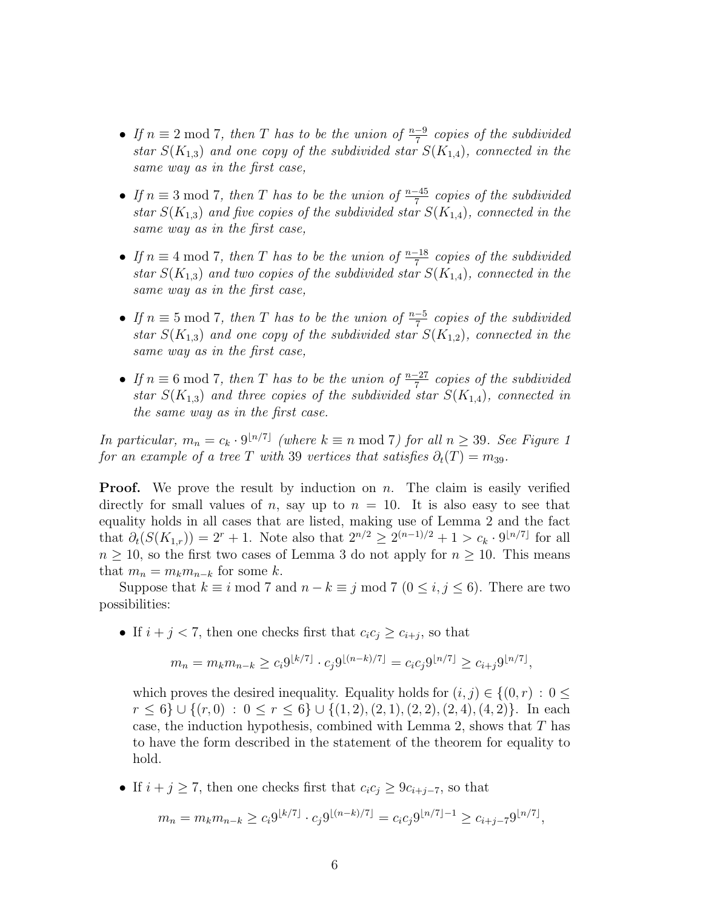- If  $n \equiv 2 \mod 7$ , then T has to be the union of  $\frac{n-9}{7}$  copies of the subdivided star  $S(K_{1,3})$  and one copy of the subdivided star  $S(K_{1,4})$ , connected in the same way as in the first case,
- If  $n \equiv 3 \mod 7$ , then T has to be the union of  $\frac{n-45}{7}$  copies of the subdivided star  $S(K_{1,3})$  and five copies of the subdivided star  $S(K_{1,4})$ , connected in the same way as in the first case,
- If  $n \equiv 4 \mod 7$ , then T has to be the union of  $\frac{n-18}{7}$  copies of the subdivided star  $S(K_{1,3})$  and two copies of the subdivided star  $S(K_{1,4})$ , connected in the same way as in the first case,
- If  $n \equiv 5 \mod 7$ , then T has to be the union of  $\frac{n-5}{7}$  copies of the subdivided star  $S(K_{1,3})$  and one copy of the subdivided star  $S(K_{1,2})$ , connected in the same way as in the first case,
- If  $n \equiv 6 \mod 7$ , then T has to be the union of  $\frac{n-27}{7}$  copies of the subdivided star  $S(K_{1,3})$  and three copies of the subdivided star  $S(K_{1,4})$ , connected in the same way as in the first case.

In particular,  $m_n = c_k \cdot 9^{\lfloor n/7 \rfloor}$  (where  $k \equiv n \mod 7$ ) for all  $n \geq 39$ . See Figure 1 for an example of a tree T with 39 vertices that satisfies  $\partial_t(T) = m_{39}$ .

**Proof.** We prove the result by induction on n. The claim is easily verified directly for small values of n, say up to  $n = 10$ . It is also easy to see that equality holds in all cases that are listed, making use of Lemma 2 and the fact that  $\partial_t(S(K_{1,r})) = 2^r + 1$ . Note also that  $2^{n/2} \ge 2^{(n-1)/2} + 1 > c_k \cdot 9^{\lfloor n/7 \rfloor}$  for all  $n \geq 10$ , so the first two cases of Lemma 3 do not apply for  $n \geq 10$ . This means that  $m_n = m_k m_{n-k}$  for some k.

Suppose that  $k \equiv i \mod 7$  and  $n - k \equiv j \mod 7$   $(0 \le i, j \le 6)$ . There are two possibilities:

• If  $i + j < 7$ , then one checks first that  $c_i c_j \geq c_{i+j}$ , so that

$$
m_n = m_k m_{n-k} \ge c_i 9^{\lfloor k/7 \rfloor} \cdot c_j 9^{\lfloor (n-k)/7 \rfloor} = c_i c_j 9^{\lfloor n/7 \rfloor} \ge c_{i+j} 9^{\lfloor n/7 \rfloor},
$$

which proves the desired inequality. Equality holds for  $(i, j) \in \{(0, r) : 0 \leq j \leq r\}$  $r < 6$ }  $\cup$  { $(r, 0) : 0 < r < 6$ }  $\cup$  { $(1, 2), (2, 1), (2, 2), (2, 4), (4, 2)$ }. In each case, the induction hypothesis, combined with Lemma 2, shows that  $T$  has to have the form described in the statement of the theorem for equality to hold.

• If  $i + j \geq 7$ , then one checks first that  $c_i c_j \geq 9c_{i+j-7}$ , so that

$$
m_n = m_k m_{n-k} \ge c_i 9^{\lfloor k/7 \rfloor} \cdot c_j 9^{\lfloor (n-k)/7 \rfloor} = c_i c_j 9^{\lfloor n/7 \rfloor - 1} \ge c_{i+j-7} 9^{\lfloor n/7 \rfloor},
$$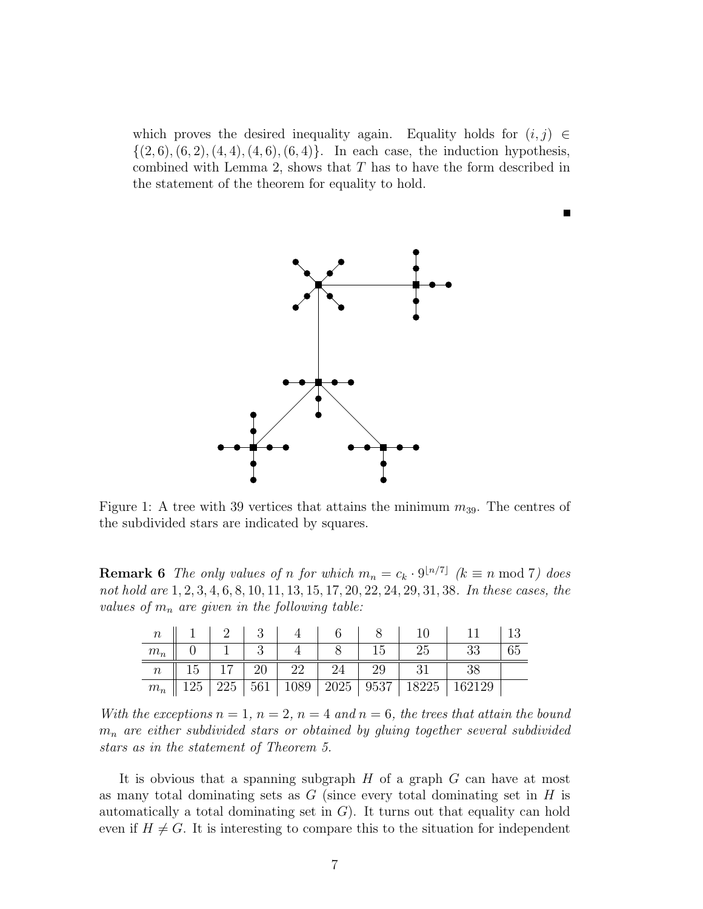which proves the desired inequality again. Equality holds for  $(i, j) \in$  $\{(2, 6), (6, 2), (4, 4), (4, 6), (6, 4)\}.$  In each case, the induction hypothesis, combined with Lemma 2, shows that  $T$  has to have the form described in the statement of the theorem for equality to hold.



Figure 1: A tree with 39 vertices that attains the minimum  $m_{39}$ . The centres of the subdivided stars are indicated by squares.

**Remark 6** The only values of n for which  $m_n = c_k \cdot 9^{\lfloor n/7 \rfloor}$  ( $k \equiv n \mod 7$ ) does not hold are 1, 2, 3, 4, 6, 8, 10, 11, 13, 15, 17, 20, 22, 24, 29, 31, 38. In these cases, the values of  $m_n$  are given in the following table:

| $\,n$            |     |     |    |    |    |    |                                  |        |  |
|------------------|-----|-----|----|----|----|----|----------------------------------|--------|--|
| $m_n$            |     |     |    |    |    | 45 | 25                               |        |  |
| $\mathfrak{n}^-$ | 15  |     | 20 | 22 | 24 | 29 |                                  |        |  |
| $m_n$            | 125 | 225 |    |    |    |    | 561   1089   2025   9537   18225 | 162129 |  |

With the exceptions  $n = 1$ ,  $n = 2$ ,  $n = 4$  and  $n = 6$ , the trees that attain the bound  $m_n$  are either subdivided stars or obtained by gluing together several subdivided stars as in the statement of Theorem 5.

It is obvious that a spanning subgraph  $H$  of a graph  $G$  can have at most as many total dominating sets as  $G$  (since every total dominating set in  $H$  is automatically a total dominating set in  $G$ ). It turns out that equality can hold even if  $H \neq G$ . It is interesting to compare this to the situation for independent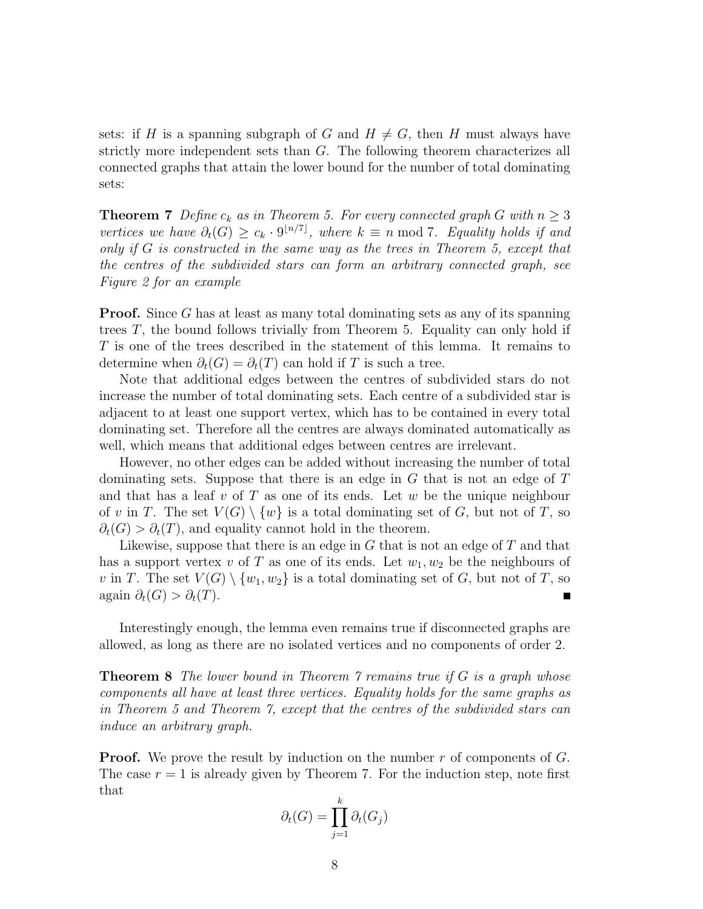sets: if H is a spanning subgraph of G and  $H \neq G$ , then H must always have strictly more independent sets than G. The following theorem characterizes all connected graphs that attain the lower bound for the number of total dominating sets:

**Theorem 7** Define  $c_k$  as in Theorem 5. For every connected graph G with  $n \geq 3$ vertices we have  $\partial_t(G) \geq c_k \cdot 9^{\lfloor n/7 \rfloor}$ , where  $k \equiv n \mod 7$ . Equality holds if and only if G is constructed in the same way as the trees in Theorem 5, except that the centres of the subdivided stars can form an arbitrary connected graph, see Figure 2 for an example

**Proof.** Since G has at least as many total dominating sets as any of its spanning trees  $T$ , the bound follows trivially from Theorem 5. Equality can only hold if T is one of the trees described in the statement of this lemma. It remains to determine when  $\partial_t(G) = \partial_t(T)$  can hold if T is such a tree.

Note that additional edges between the centres of subdivided stars do not increase the number of total dominating sets. Each centre of a subdivided star is adjacent to at least one support vertex, which has to be contained in every total dominating set. Therefore all the centres are always dominated automatically as well, which means that additional edges between centres are irrelevant.

However, no other edges can be added without increasing the number of total dominating sets. Suppose that there is an edge in G that is not an edge of T and that has a leaf v of T as one of its ends. Let w be the unique neighbour of v in T. The set  $V(G) \setminus \{w\}$  is a total dominating set of G, but not of T, so  $\partial_t(G) > \partial_t(T)$ , and equality cannot hold in the theorem.

Likewise, suppose that there is an edge in  $G$  that is not an edge of  $T$  and that has a support vertex v of T as one of its ends. Let  $w_1, w_2$  be the neighbours of v in T. The set  $V(G) \setminus \{w_1, w_2\}$  is a total dominating set of G, but not of T, so again  $\partial_t(G) > \partial_t(T)$ .

Interestingly enough, the lemma even remains true if disconnected graphs are allowed, as long as there are no isolated vertices and no components of order 2.

**Theorem 8** The lower bound in Theorem  $\gamma$  remains true if G is a graph whose components all have at least three vertices. Equality holds for the same graphs as in Theorem 5 and Theorem 7, except that the centres of the subdivided stars can induce an arbitrary graph.

**Proof.** We prove the result by induction on the number  $r$  of components of  $G$ . The case  $r = 1$  is already given by Theorem 7. For the induction step, note first that

$$
\partial_t(G) = \prod_{j=1}^k \partial_t(G_j)
$$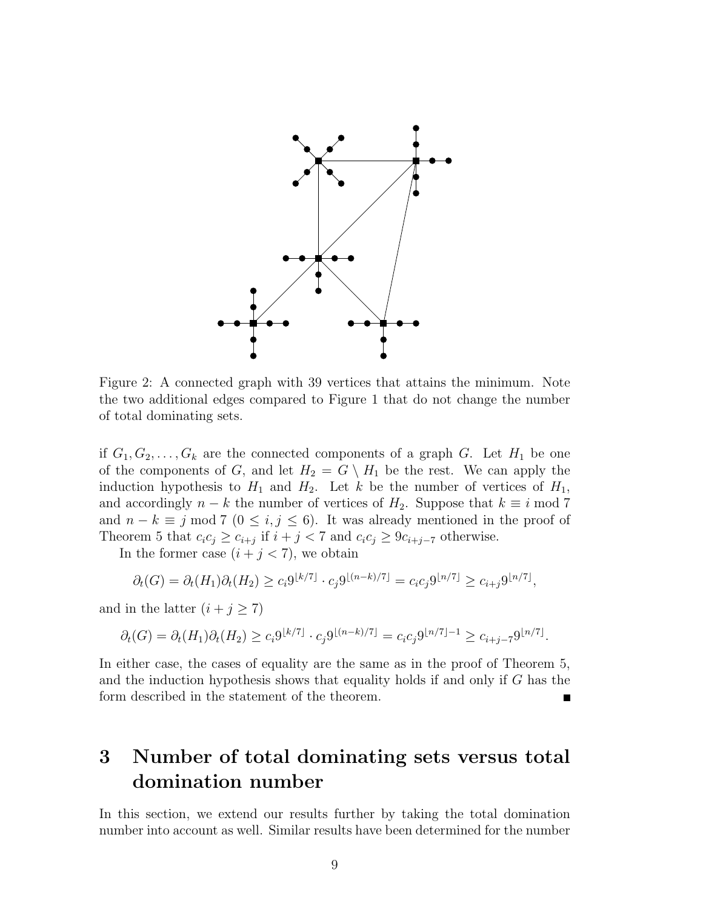

Figure 2: A connected graph with 39 vertices that attains the minimum. Note the two additional edges compared to Figure 1 that do not change the number of total dominating sets.

if  $G_1, G_2, \ldots, G_k$  are the connected components of a graph G. Let  $H_1$  be one of the components of G, and let  $H_2 = G \setminus H_1$  be the rest. We can apply the induction hypothesis to  $H_1$  and  $H_2$ . Let k be the number of vertices of  $H_1$ , and accordingly  $n - k$  the number of vertices of  $H_2$ . Suppose that  $k \equiv i \mod 7$ and  $n - k \equiv j \mod 7 \ (0 \le i, j \le 6)$ . It was already mentioned in the proof of Theorem 5 that  $c_i c_j \geq c_{i+j}$  if  $i + j < 7$  and  $c_i c_j \geq 9c_{i+j-7}$  otherwise.

In the former case  $(i + j < 7)$ , we obtain

$$
\partial_t(G) = \partial_t(H_1)\partial_t(H_2) \ge c_i 9^{\lfloor k/7 \rfloor} \cdot c_j 9^{\lfloor (n-k)/7 \rfloor} = c_i c_j 9^{\lfloor n/7 \rfloor} \ge c_{i+j} 9^{\lfloor n/7 \rfloor},
$$

and in the latter  $(i + j \geq 7)$ 

$$
\partial_t(G) = \partial_t(H_1)\partial_t(H_2) \ge c_i 9^{\lfloor k/7 \rfloor} \cdot c_j 9^{\lfloor (n-k)/7 \rfloor} = c_i c_j 9^{\lfloor n/7 \rfloor - 1} \ge c_{i+j-7} 9^{\lfloor n/7 \rfloor}.
$$

In either case, the cases of equality are the same as in the proof of Theorem 5, and the induction hypothesis shows that equality holds if and only if G has the form described in the statement of the theorem.

# 3 Number of total dominating sets versus total domination number

In this section, we extend our results further by taking the total domination number into account as well. Similar results have been determined for the number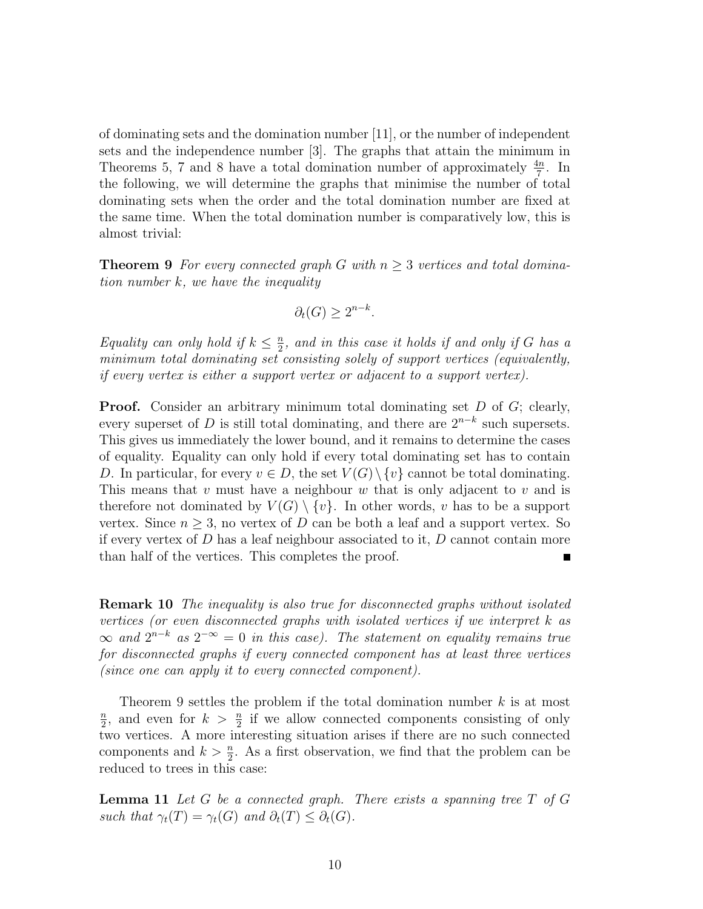of dominating sets and the domination number [11], or the number of independent sets and the independence number [3]. The graphs that attain the minimum in Theorems 5, 7 and 8 have a total domination number of approximately  $\frac{4n}{7}$ . In the following, we will determine the graphs that minimise the number of total dominating sets when the order and the total domination number are fixed at the same time. When the total domination number is comparatively low, this is almost trivial:

**Theorem 9** For every connected graph G with  $n \geq 3$  vertices and total domination number k, we have the inequality

$$
\partial_t(G) \ge 2^{n-k}.
$$

Equality can only hold if  $k \leq \frac{n}{2}$  $\frac{n}{2}$ , and in this case it holds if and only if G has a minimum total dominating set consisting solely of support vertices (equivalently, if every vertex is either a support vertex or adjacent to a support vertex).

**Proof.** Consider an arbitrary minimum total dominating set D of G; clearly, every superset of D is still total dominating, and there are  $2^{n-k}$  such supersets. This gives us immediately the lower bound, and it remains to determine the cases of equality. Equality can only hold if every total dominating set has to contain D. In particular, for every  $v \in D$ , the set  $V(G) \setminus \{v\}$  cannot be total dominating. This means that v must have a neighbour w that is only adjacent to v and is therefore not dominated by  $V(G) \setminus \{v\}$ . In other words, v has to be a support vertex. Since  $n \geq 3$ , no vertex of D can be both a leaf and a support vertex. So if every vertex of  $D$  has a leaf neighbour associated to it,  $D$  cannot contain more than half of the vertices. This completes the proof.  $\blacksquare$ 

Remark 10 The inequality is also true for disconnected graphs without isolated vertices (or even disconnected graphs with isolated vertices if we interpret k as  $\infty$  and  $2^{n-k}$  as  $2^{-\infty} = 0$  in this case). The statement on equality remains true for disconnected graphs if every connected component has at least three vertices (since one can apply it to every connected component).

Theorem 9 settles the problem if the total domination number k is at most n  $\frac{n}{2}$ , and even for  $k > \frac{n}{2}$  if we allow connected components consisting of only two vertices. A more interesting situation arises if there are no such connected components and  $k > \frac{n}{2}$ . As a first observation, we find that the problem can be reduced to trees in this case:

**Lemma 11** Let G be a connected graph. There exists a spanning tree  $T$  of  $G$ such that  $\gamma_t(T) = \gamma_t(G)$  and  $\partial_t(T) \leq \partial_t(G)$ .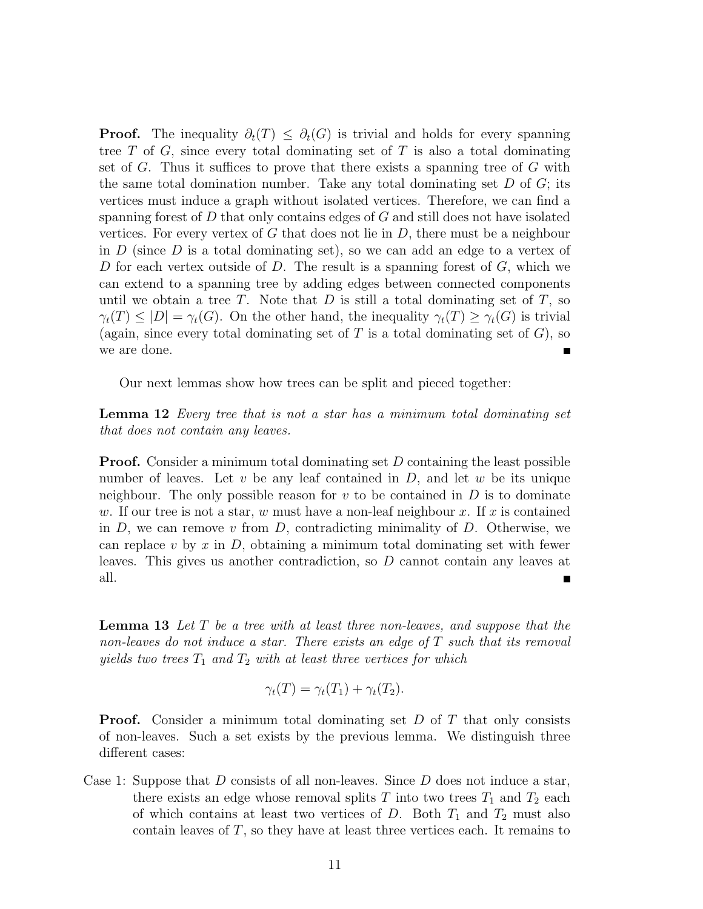**Proof.** The inequality  $\partial_t(T) \leq \partial_t(G)$  is trivial and holds for every spanning tree  $T$  of  $G$ , since every total dominating set of  $T$  is also a total dominating set of G. Thus it suffices to prove that there exists a spanning tree of G with the same total domination number. Take any total dominating set  $D$  of  $G$ ; its vertices must induce a graph without isolated vertices. Therefore, we can find a spanning forest of  $D$  that only contains edges of  $G$  and still does not have isolated vertices. For every vertex of G that does not lie in  $D$ , there must be a neighbour in  $D$  (since  $D$  is a total dominating set), so we can add an edge to a vertex of D for each vertex outside of D. The result is a spanning forest of  $G$ , which we can extend to a spanning tree by adding edges between connected components until we obtain a tree T. Note that  $D$  is still a total dominating set of  $T$ , so  $\gamma_t(T) \leq |D| = \gamma_t(G)$ . On the other hand, the inequality  $\gamma_t(T) \geq \gamma_t(G)$  is trivial (again, since every total dominating set of  $T$  is a total dominating set of  $G$ ), so we are done.

Our next lemmas show how trees can be split and pieced together:

Lemma 12 Every tree that is not a star has a minimum total dominating set that does not contain any leaves.

**Proof.** Consider a minimum total dominating set D containing the least possible number of leaves. Let  $v$  be any leaf contained in  $D$ , and let  $w$  be its unique neighbour. The only possible reason for  $v$  to be contained in  $D$  is to dominate w. If our tree is not a star, w must have a non-leaf neighbour x. If x is contained in  $D$ , we can remove v from  $D$ , contradicting minimality of  $D$ . Otherwise, we can replace v by x in  $D$ , obtaining a minimum total dominating set with fewer leaves. This gives us another contradiction, so D cannot contain any leaves at all.  $\blacksquare$ 

**Lemma 13** Let  $T$  be a tree with at least three non-leaves, and suppose that the non-leaves do not induce a star. There exists an edge of T such that its removal yields two trees  $T_1$  and  $T_2$  with at least three vertices for which

$$
\gamma_t(T) = \gamma_t(T_1) + \gamma_t(T_2).
$$

**Proof.** Consider a minimum total dominating set  $D$  of  $T$  that only consists of non-leaves. Such a set exists by the previous lemma. We distinguish three different cases:

Case 1: Suppose that D consists of all non-leaves. Since  $D$  does not induce a star, there exists an edge whose removal splits T into two trees  $T_1$  and  $T_2$  each of which contains at least two vertices of D. Both  $T_1$  and  $T_2$  must also contain leaves of  $T$ , so they have at least three vertices each. It remains to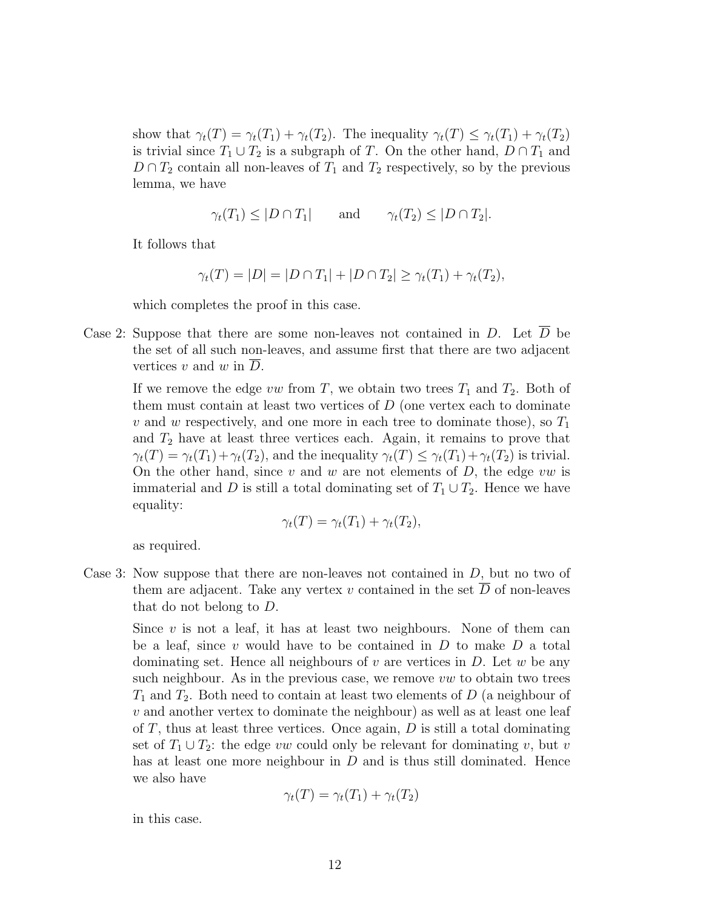show that  $\gamma_t(T) = \gamma_t(T_1) + \gamma_t(T_2)$ . The inequality  $\gamma_t(T) \leq \gamma_t(T_1) + \gamma_t(T_2)$ is trivial since  $T_1 \cup T_2$  is a subgraph of T. On the other hand,  $D \cap T_1$  and  $D \cap T_2$  contain all non-leaves of  $T_1$  and  $T_2$  respectively, so by the previous lemma, we have

$$
\gamma_t(T_1) \leq |D \cap T_1|
$$
 and  $\gamma_t(T_2) \leq |D \cap T_2|$ .

It follows that

$$
\gamma_t(T) = |D| = |D \cap T_1| + |D \cap T_2| \ge \gamma_t(T_1) + \gamma_t(T_2),
$$

which completes the proof in this case.

Case 2: Suppose that there are some non-leaves not contained in D. Let  $\overline{D}$  be the set of all such non-leaves, and assume first that there are two adjacent vertices  $v$  and  $w$  in  $D$ .

> If we remove the edge vw from T, we obtain two trees  $T_1$  and  $T_2$ . Both of them must contain at least two vertices of  $D$  (one vertex each to dominate v and w respectively, and one more in each tree to dominate those), so  $T_1$ and  $T_2$  have at least three vertices each. Again, it remains to prove that  $\gamma_t(T) = \gamma_t(T_1) + \gamma_t(T_2)$ , and the inequality  $\gamma_t(T) \leq \gamma_t(T_1) + \gamma_t(T_2)$  is trivial. On the other hand, since  $v$  and  $w$  are not elements of  $D$ , the edge  $vw$  is immaterial and D is still a total dominating set of  $T_1 \cup T_2$ . Hence we have equality:

$$
\gamma_t(T) = \gamma_t(T_1) + \gamma_t(T_2),
$$

as required.

Case 3: Now suppose that there are non-leaves not contained in D, but no two of them are adjacent. Take any vertex v contained in the set  $\overline{D}$  of non-leaves that do not belong to D.

Since  $v$  is not a leaf, it has at least two neighbours. None of them can be a leaf, since  $v$  would have to be contained in  $D$  to make  $D$  a total dominating set. Hence all neighbours of  $v$  are vertices in  $D$ . Let  $w$  be any such neighbour. As in the previous case, we remove  $vw$  to obtain two trees  $T_1$  and  $T_2$ . Both need to contain at least two elements of D (a neighbour of  $v$  and another vertex to dominate the neighbour) as well as at least one leaf of  $T$ , thus at least three vertices. Once again,  $D$  is still a total dominating set of  $T_1 \cup T_2$ : the edge vw could only be relevant for dominating v, but v has at least one more neighbour in  $D$  and is thus still dominated. Hence we also have

$$
\gamma_t(T) = \gamma_t(T_1) + \gamma_t(T_2)
$$

in this case.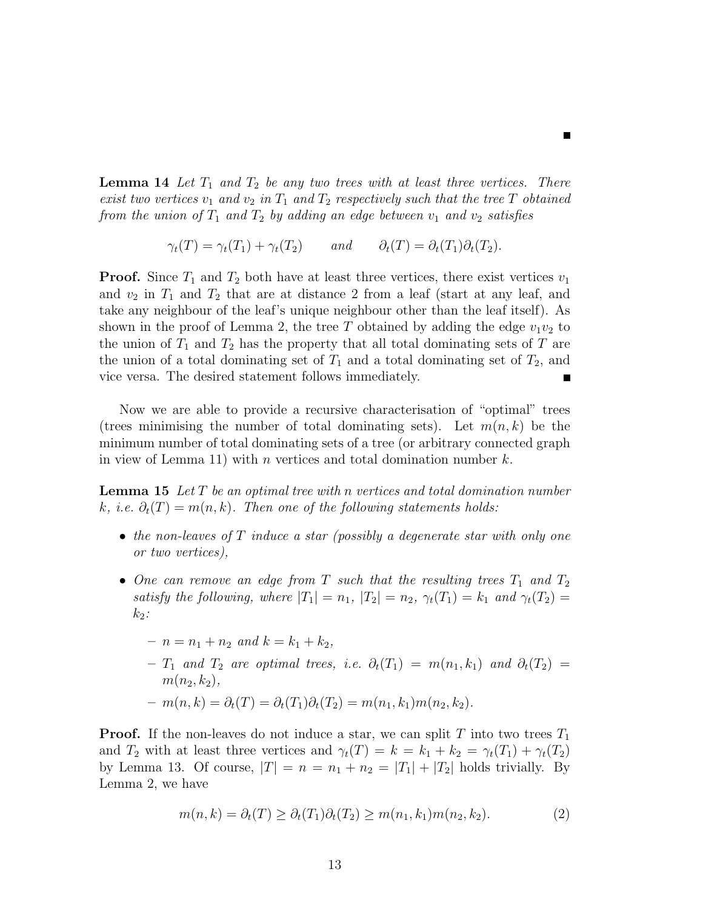**Lemma 14** Let  $T_1$  and  $T_2$  be any two trees with at least three vertices. There exist two vertices  $v_1$  and  $v_2$  in  $T_1$  and  $T_2$  respectively such that the tree T obtained from the union of  $T_1$  and  $T_2$  by adding an edge between  $v_1$  and  $v_2$  satisfies

 $\blacksquare$ 

 $\gamma_t(T) = \gamma_t(T_1) + \gamma_t(T_2)$  and  $\partial_t(T) = \partial_t(T_1)\partial_t(T_2)$ .

**Proof.** Since  $T_1$  and  $T_2$  both have at least three vertices, there exist vertices  $v_1$ and  $v_2$  in  $T_1$  and  $T_2$  that are at distance 2 from a leaf (start at any leaf, and take any neighbour of the leaf's unique neighbour other than the leaf itself). As shown in the proof of Lemma 2, the tree T obtained by adding the edge  $v_1v_2$  to the union of  $T_1$  and  $T_2$  has the property that all total dominating sets of T are the union of a total dominating set of  $T_1$  and a total dominating set of  $T_2$ , and vice versa. The desired statement follows immediately.

Now we are able to provide a recursive characterisation of "optimal" trees (trees minimising the number of total dominating sets). Let  $m(n, k)$  be the minimum number of total dominating sets of a tree (or arbitrary connected graph in view of Lemma 11) with n vertices and total domination number  $k$ .

**Lemma 15** Let  $T$  be an optimal tree with n vertices and total domination number k, i.e.  $\partial_t(T) = m(n, k)$ . Then one of the following statements holds:

- the non-leaves of  $T$  induce a star (possibly a degenerate star with only one or two vertices),
- One can remove an edge from T such that the resulting trees  $T_1$  and  $T_2$ satisfy the following, where  $|T_1| = n_1$ ,  $|T_2| = n_2$ ,  $\gamma_t(T_1) = k_1$  and  $\gamma_t(T_2) =$  $k_2$ :
	- $n = n_1 + n_2$  and  $k = k_1 + k_2$ ,
	- $T_1$  and  $T_2$  are optimal trees, i.e.  $\partial_t(T_1) = m(n_1, k_1)$  and  $\partial_t(T_2) =$  $m(n_2, k_2),$

$$
-m(n,k) = \partial_t(T) = \partial_t(T_1)\partial_t(T_2) = m(n_1,k_1)m(n_2,k_2).
$$

**Proof.** If the non-leaves do not induce a star, we can split T into two trees  $T_1$ and  $T_2$  with at least three vertices and  $\gamma_t(T) = k = k_1 + k_2 = \gamma_t(T_1) + \gamma_t(T_2)$ by Lemma 13. Of course,  $|T| = n = n_1 + n_2 = |T_1| + |T_2|$  holds trivially. By Lemma 2, we have

$$
m(n,k) = \partial_t(T) \ge \partial_t(T_1)\partial_t(T_2) \ge m(n_1,k_1)m(n_2,k_2).
$$
 (2)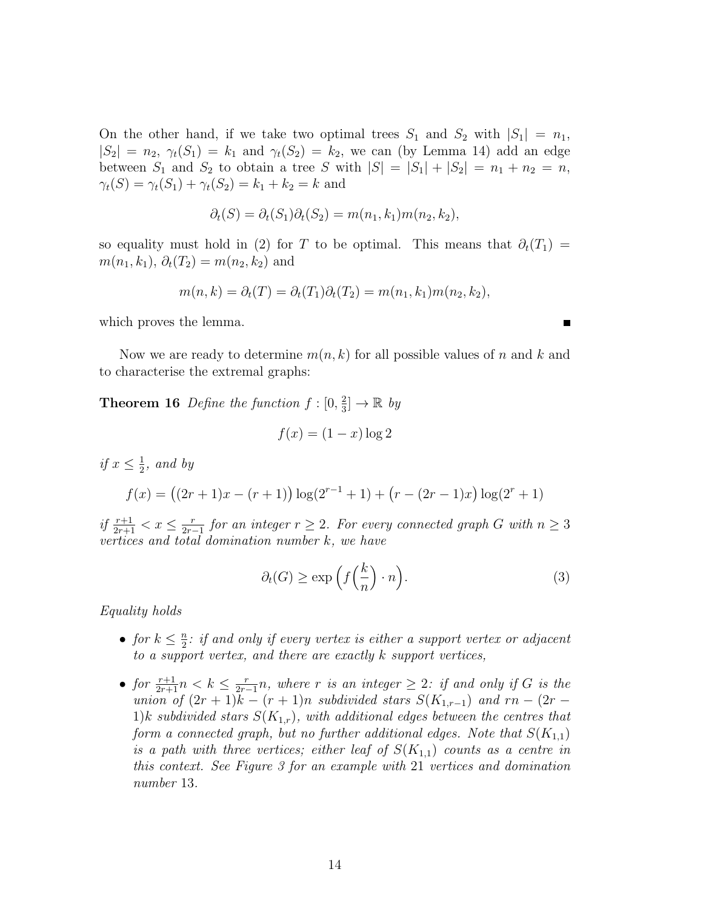On the other hand, if we take two optimal trees  $S_1$  and  $S_2$  with  $|S_1| = n_1$ ,  $|S_2| = n_2$ ,  $\gamma_t(S_1) = k_1$  and  $\gamma_t(S_2) = k_2$ , we can (by Lemma 14) add an edge between  $S_1$  and  $S_2$  to obtain a tree S with  $|S| = |S_1| + |S_2| = n_1 + n_2 = n$ ,  $\gamma_t(S) = \gamma_t(S_1) + \gamma_t(S_2) = k_1 + k_2 = k$  and

$$
\partial_t(S) = \partial_t(S_1)\partial_t(S_2) = m(n_1, k_1)m(n_2, k_2),
$$

so equality must hold in (2) for T to be optimal. This means that  $\partial_t(T_1)$  =  $m(n_1, k_1), \, \partial_t(T_2) = m(n_2, k_2)$  and

$$
m(n,k) = \partial_t(T) = \partial_t(T_1)\partial_t(T_2) = m(n_1,k_1)m(n_2,k_2),
$$

which proves the lemma.

Now we are ready to determine  $m(n, k)$  for all possible values of n and k and to characterise the extremal graphs:

**Theorem 16** Define the function  $f : [0, \frac{2}{3}]$  $\frac{2}{3}$   $\rightarrow \mathbb{R}$  by

$$
f(x) = (1 - x) \log 2
$$

if 
$$
x \le \frac{1}{2}
$$
, and by  
\n
$$
f(x) = ((2r + 1)x - (r + 1)) \log(2^{r-1} + 1) + (r - (2r - 1)x) \log(2^r + 1)
$$

if  $\frac{r+1}{2r+1} < x \leq \frac{r}{2r}$  $\frac{r}{2r-1}$  for an integer  $r \geq 2$ . For every connected graph G with  $n \geq 3$ vertices and total domination number k, we have

$$
\partial_t(G) \ge \exp\left(f\left(\frac{k}{n}\right) \cdot n\right). \tag{3}
$$

Equality holds

- for  $k \leq \frac{n}{2}$  $\frac{n}{2}$ : if and only if every vertex is either a support vertex or adjacent to a support vertex, and there are exactly k support vertices,
- for  $\frac{r+1}{2r+1}n < k \leq \frac{r}{2r}$  $\frac{r}{2r-1}n$ , where r is an integer  $\geq 2$ : if and only if G is the union of  $(2r + 1)k - (r + 1)n$  subdivided stars  $S(K_{1,r-1})$  and  $rn - (2r -$ 1)k subdivided stars  $S(K_{1,r})$ , with additional edges between the centres that form a connected graph, but no further additional edges. Note that  $S(K_{1,1})$ is a path with three vertices; either leaf of  $S(K_{1,1})$  counts as a centre in this context. See Figure 3 for an example with 21 vertices and domination number 13.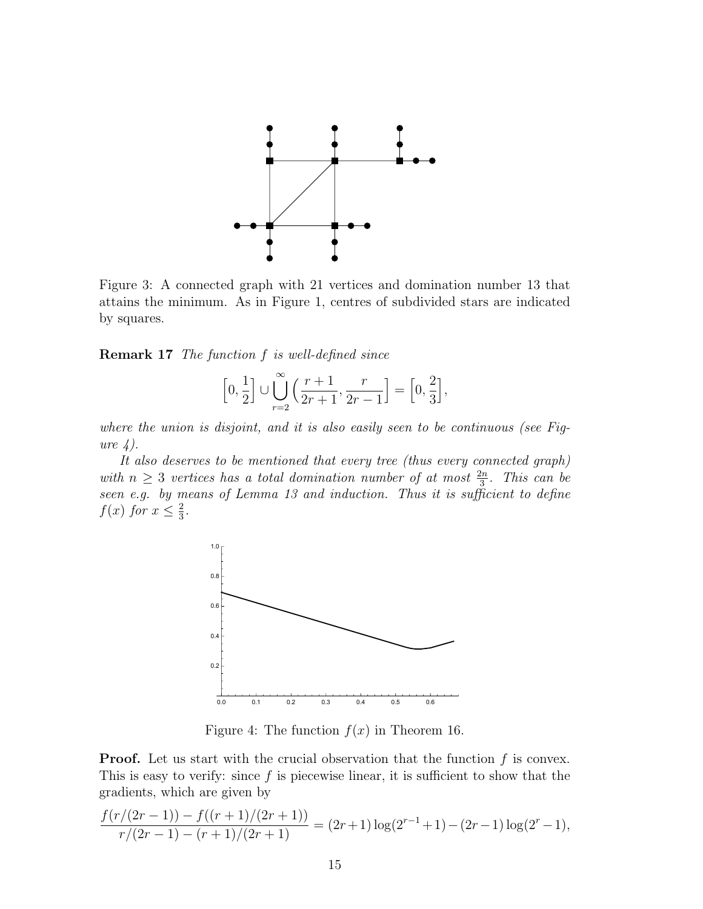

Figure 3: A connected graph with 21 vertices and domination number 13 that attains the minimum. As in Figure 1, centres of subdivided stars are indicated by squares.

Remark 17 The function f is well-defined since

$$
\left[0,\frac{1}{2}\right] \cup \bigcup_{r=2}^{\infty} \left(\frac{r+1}{2r+1},\frac{r}{2r-1}\right] = \left[0,\frac{2}{3}\right],
$$

where the union is disjoint, and it is also easily seen to be continuous (see Figure  $\angle$ ).

It also deserves to be mentioned that every tree (thus every connected graph) with  $n \geq 3$  vertices has a total domination number of at most  $\frac{2n}{3}$ . This can be seen e.g. by means of Lemma 13 and induction. Thus it is sufficient to define  $f(x)$  for  $x \leq \frac{2}{3}$  $\frac{2}{3}$ .



Figure 4: The function  $f(x)$  in Theorem 16.

**Proof.** Let us start with the crucial observation that the function  $f$  is convex. This is easy to verify: since  $f$  is piecewise linear, it is sufficient to show that the gradients, which are given by

$$
\frac{f(r/(2r-1)) - f((r+1)/(2r+1))}{r/(2r-1) - (r+1)/(2r+1)} = (2r+1)\log(2^{r-1}+1) - (2r-1)\log(2^r-1),
$$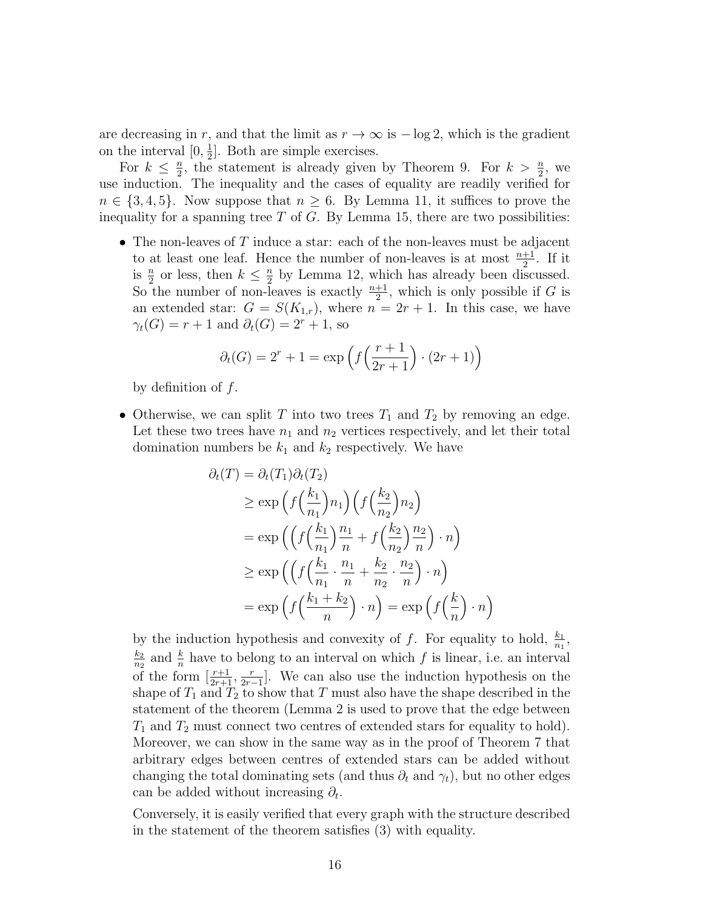are decreasing in r, and that the limit as  $r \to \infty$  is  $-\log 2$ , which is the gradient on the interval  $[0, \frac{1}{2}]$  $\frac{1}{2}$ . Both are simple exercises.

For  $k \leq \frac{n}{2}$  $\frac{n}{2}$ , the statement is already given by Theorem 9. For  $k > \frac{n}{2}$ , we use induction. The inequality and the cases of equality are readily verified for  $n \in \{3, 4, 5\}$ . Now suppose that  $n \geq 6$ . By Lemma 11, it suffices to prove the inequality for a spanning tree  $T$  of  $G$ . By Lemma 15, there are two possibilities:

• The non-leaves of  $T$  induce a star: each of the non-leaves must be adjacent to at least one leaf. Hence the number of non-leaves is at most  $\frac{n+1}{2}$ . If it is  $\frac{n}{2}$  or less, then  $k \leq \frac{n}{2}$  $\frac{n}{2}$  by Lemma 12, which has already been discussed. So the number of non-leaves is exactly  $\frac{n+1}{2}$ , which is only possible if G is an extended star:  $G = S(K_{1,r})$ , where  $n = 2r + 1$ . In this case, we have  $\gamma_t(G) = r + 1$  and  $\partial_t(G) = 2^r + 1$ , so

$$
\partial_t(G) = 2^r + 1 = \exp\left(f\left(\frac{r+1}{2r+1}\right) \cdot (2r+1)\right)
$$

by definition of f.

• Otherwise, we can split T into two trees  $T_1$  and  $T_2$  by removing an edge. Let these two trees have  $n_1$  and  $n_2$  vertices respectively, and let their total domination numbers be  $k_1$  and  $k_2$  respectively. We have

$$
\partial_t(T) = \partial_t(T_1)\partial_t(T_2)
$$
\n
$$
\geq \exp\left(f\left(\frac{k_1}{n_1}\right)n_1\right)\left(f\left(\frac{k_2}{n_2}\right)n_2\right)
$$
\n
$$
= \exp\left(\left(f\left(\frac{k_1}{n_1}\right)\frac{n_1}{n} + f\left(\frac{k_2}{n_2}\right)\frac{n_2}{n}\right) \cdot n\right)
$$
\n
$$
\geq \exp\left(\left(f\left(\frac{k_1}{n_1} \cdot \frac{n_1}{n} + \frac{k_2}{n_2} \cdot \frac{n_2}{n}\right) \cdot n\right)
$$
\n
$$
= \exp\left(f\left(\frac{k_1 + k_2}{n}\right) \cdot n\right) = \exp\left(f\left(\frac{k}{n}\right) \cdot n\right)
$$

by the induction hypothesis and convexity of f. For equality to hold,  $\frac{k_1}{n_1}$ ,  $\mathbf{k}_2$  $\frac{k_2}{n_2}$  and  $\frac{k}{n}$  have to belong to an interval on which f is linear, i.e. an interval of the form  $\left[\frac{r+1}{2r+1}, \frac{r}{2r-1}\right]$  $\frac{r}{2r-1}$ . We can also use the induction hypothesis on the shape of  $T_1$  and  $T_2$  to show that T must also have the shape described in the statement of the theorem (Lemma 2 is used to prove that the edge between  $T_1$  and  $T_2$  must connect two centres of extended stars for equality to hold). Moreover, we can show in the same way as in the proof of Theorem 7 that arbitrary edges between centres of extended stars can be added without changing the total dominating sets (and thus  $\partial_t$  and  $\gamma_t$ ), but no other edges can be added without increasing  $\partial_t$ .

Conversely, it is easily verified that every graph with the structure described in the statement of the theorem satisfies (3) with equality.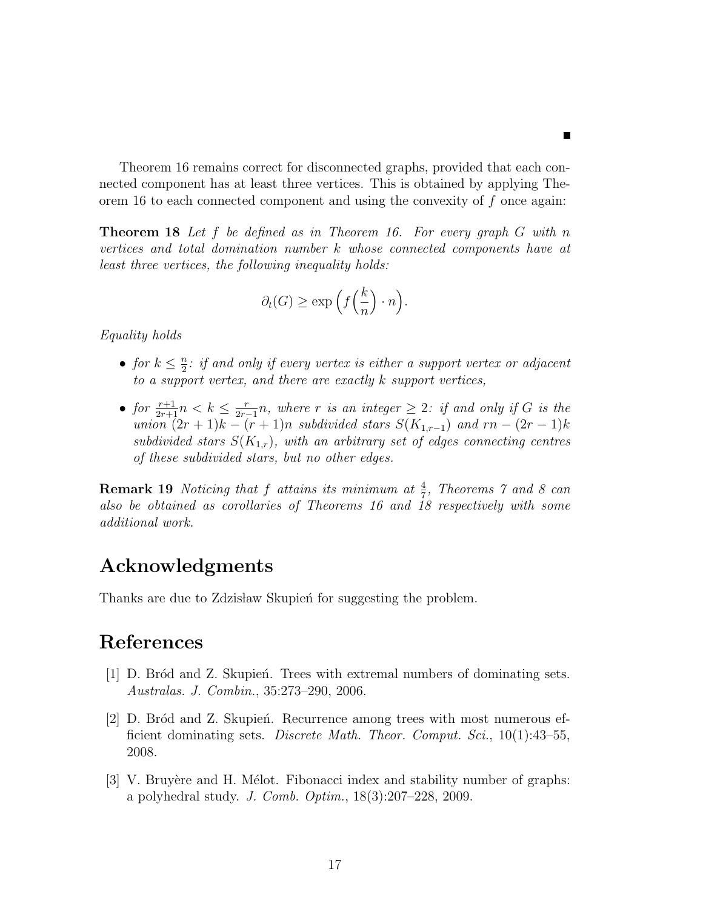Theorem 16 remains correct for disconnected graphs, provided that each connected component has at least three vertices. This is obtained by applying Theorem 16 to each connected component and using the convexity of f once again:

**Theorem 18** Let f be defined as in Theorem 16. For every graph  $G$  with n vertices and total domination number k whose connected components have at least three vertices, the following inequality holds:

$$
\partial_t(G) \ge \exp\left(f\left(\frac{k}{n}\right) \cdot n\right).
$$

Equality holds

- for  $k \leq \frac{n}{2}$  $\frac{n}{2}$ : if and only if every vertex is either a support vertex or adjacent to a support vertex, and there are exactly k support vertices,
- for  $\frac{r+1}{2r+1}n < k \leq \frac{r}{2r}$  $\frac{r}{2r-1}n$ , where r is an integer  $\geq 2$ : if and only if G is the union  $(2r+1)k - (r+1)n$  subdivided stars  $S(K_{1,r-1})$  and  $rn - (2r-1)k$ subdivided stars  $S(K_{1,r})$ , with an arbitrary set of edges connecting centres of these subdivided stars, but no other edges.

**Remark 19** Noticing that f attains its minimum at  $\frac{4}{7}$ , Theorems 7 and 8 can also be obtained as corollaries of Theorems 16 and 18 respectively with some additional work.

# Acknowledgments

Thanks are due to Zdzisław Skupien for suggesting the problem.

# References

- [1] D. Bród and Z. Skupien. Trees with extremal numbers of dominating sets. Australas. J. Combin., 35:273–290, 2006.
- [2] D. Bród and Z. Skupień. Recurrence among trees with most numerous efficient dominating sets. Discrete Math. Theor. Comput. Sci., 10(1):43–55, 2008.
- [3] V. Bruyère and H. Mélot. Fibonacci index and stability number of graphs: a polyhedral study. J. Comb. Optim., 18(3):207–228, 2009.